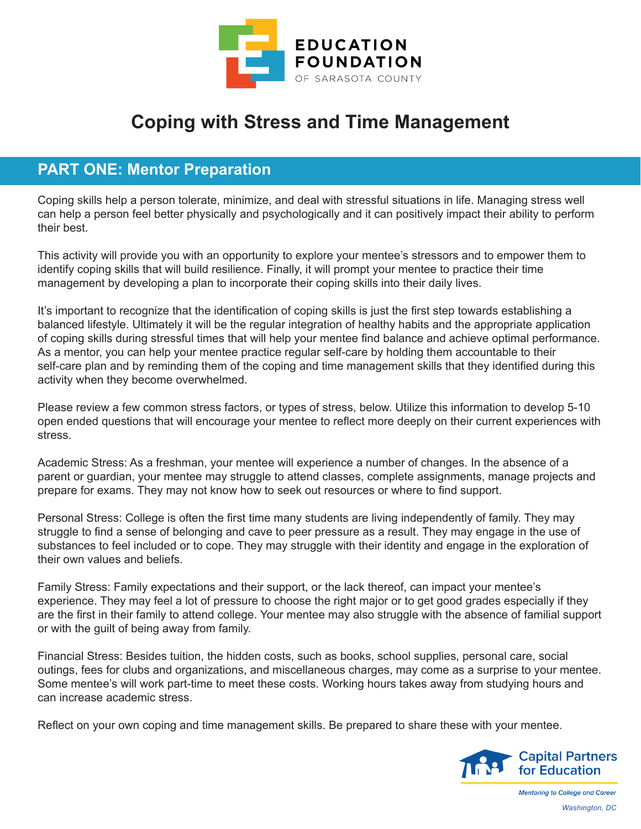

## **Coping with Stress and Time Management**

#### **PART ONE: Mentor Preparation**

Coping skills help a person tolerate, minimize, and deal with stressful situations in life. Managing stress well can help a person feel better physically and psychologically and it can positively impact their ability to perform their best.

This activity will provide you with an opportunity to explore your mentee's stressors and to empower them to identify coping skills that will build resilience. Finally, it will prompt your mentee to practice their time management by developing a plan to incorporate their coping skills into their daily lives.

It's important to recognize that the identification of coping skills is just the first step towards establishing a balanced lifestyle. Ultimately it will be the regular integration of healthy habits and the appropriate application of coping skills during stressful times that will help your mentee find balance and achieve optimal performance. As a mentor, you can help your mentee practice regular self-care by holding them accountable to their self-care plan and by reminding them of the coping and time management skills that they identified during this activity when they become overwhelmed.

Please review a few common stress factors, or types of stress, below. Utilize this information to develop 5-10 open ended questions that will encourage your mentee to reflect more deeply on their current experiences with stress.

Academic Stress: As a freshman, your mentee will experience a number of changes. In the absence of a parent or guardian, your mentee may struggle to attend classes, complete assignments, manage projects and prepare for exams. They may not know how to seek out resources or where to find support.

Personal Stress: College is often the first time many students are living independently of family. They may struggle to find a sense of belonging and cave to peer pressure as a result. They may engage in the use of substances to feel included or to cope. They may struggle with their identity and engage in the exploration of their own values and beliefs.

Family Stress: Family expectations and their support, or the lack thereof, can impact your mentee's experience. They may feel a lot of pressure to choose the right major or to get good grades especially if they are the first in their family to attend college. Your mentee may also struggle with the absence of familial support or with the guilt of being away from family.

Financial Stress: Besides tuition, the hidden costs, such as books, school supplies, personal care, social outings, fees for clubs and organizations, and miscellaneous charges, may come as a surprise to your mentee. Some mentee's will work part-time to meet these costs. Working hours takes away from studying hours and can increase academic stress.

Reflect on your own coping and time management skills. Be prepared to share these with your mentee.

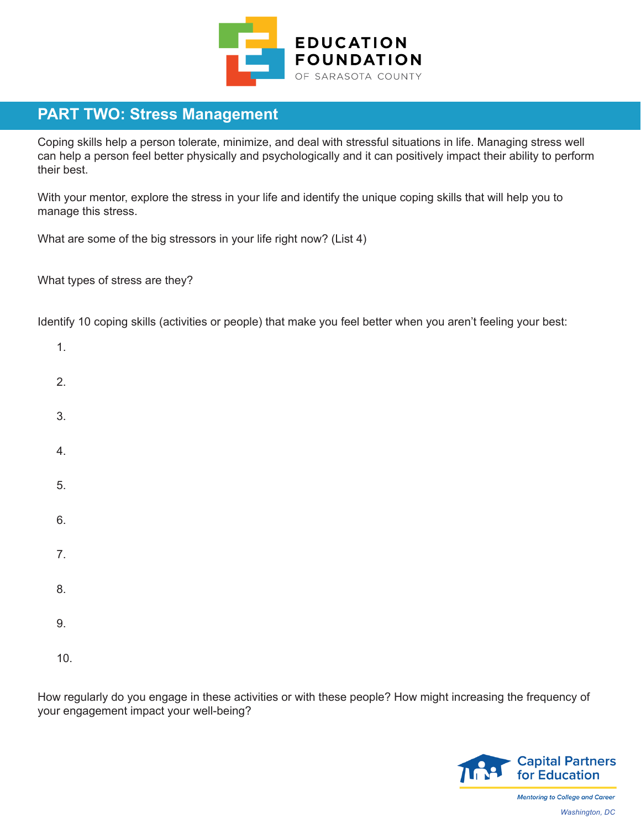

#### **PART TWO: Stress Management**

Coping skills help a person tolerate, minimize, and deal with stressful situations in life. Managing stress well can help a person feel better physically and psychologically and it can positively impact their ability to perform their best.

With your mentor, explore the stress in your life and identify the unique coping skills that will help you to manage this stress.

What are some of the big stressors in your life right now? (List 4)

What types of stress are they?

Identify 10 coping skills (activities or people) that make you feel better when you aren't feeling your best:

| $\mathbf{1}$ .   |  |  |  |
|------------------|--|--|--|
| 2.               |  |  |  |
| 3.               |  |  |  |
| $\overline{4}$ . |  |  |  |
| 5.               |  |  |  |
| 6.               |  |  |  |
| $\overline{7}$ . |  |  |  |
| 8.               |  |  |  |
| 9.               |  |  |  |
| 10.              |  |  |  |

How regularly do you engage in these activities or with these people? How might increasing the frequency of your engagement impact your well-being?



**Mentoring to College and Career** *Washington, DC*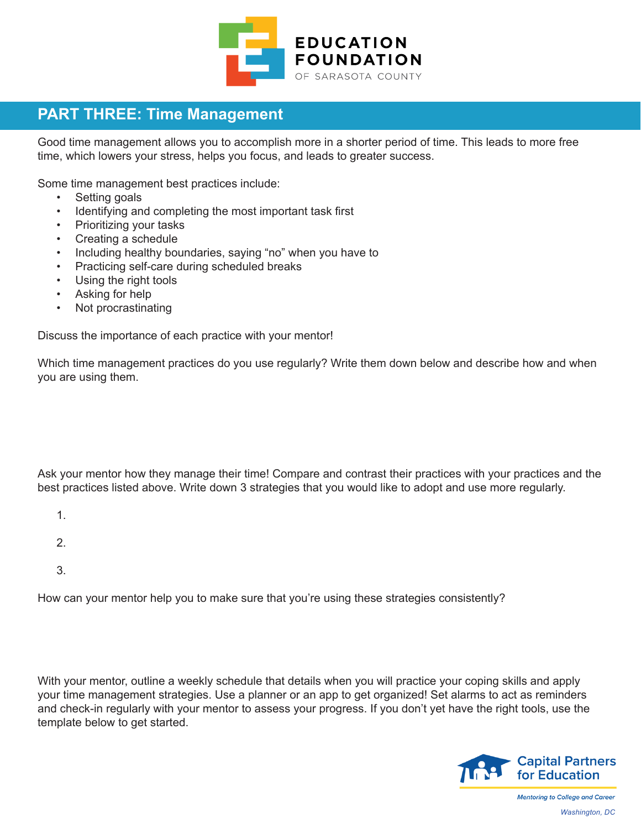

### **PART THREE: Time Management**

Good time management allows you to accomplish more in a shorter period of time. This leads to more free time, which lowers your stress, helps you focus, and leads to greater success.

Some time management best practices include:

- Setting goals
- Identifying and completing the most important task first
- Prioritizing your tasks
- Creating a schedule
- Including healthy boundaries, saying "no" when you have to
- Practicing self-care during scheduled breaks
- Using the right tools
- Asking for help
- Not procrastinating

Discuss the importance of each practice with your mentor!

Which time management practices do you use regularly? Write them down below and describe how and when you are using them.

Ask your mentor how they manage their time! Compare and contrast their practices with your practices and the best practices listed above. Write down 3 strategies that you would like to adopt and use more regularly.

- 1.
- 
- 2.
- 3.

How can your mentor help you to make sure that you're using these strategies consistently?

With your mentor, outline a weekly schedule that details when you will practice your coping skills and apply your time management strategies. Use a planner or an app to get organized! Set alarms to act as reminders and check-in regularly with your mentor to assess your progress. If you don't yet have the right tools, use the template below to get started.